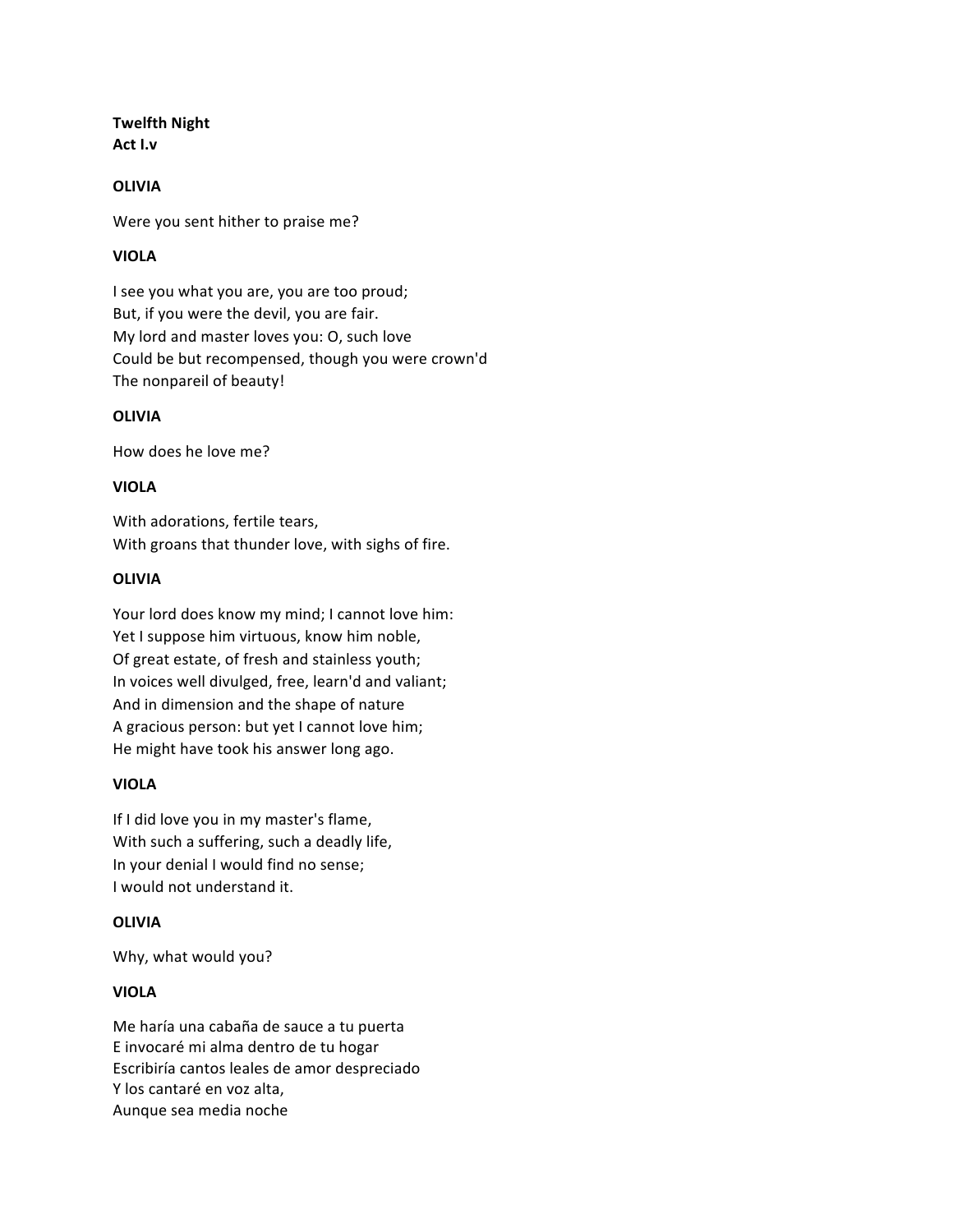# **Twelfth Night Act I.v**

#### **OLIVIA**

Were you sent hither to praise me?

# **VIOLA**

I see you what you are, you are too proud; But, if you were the devil, you are fair. My lord and master loves you: O, such love Could be but recompensed, though you were crown'd The nonpareil of beauty!

#### **OLIVIA**

How does he love me?

## **VIOLA**

With adorations, fertile tears, With groans that thunder love, with sighs of fire.

#### **OLIVIA**

Your lord does know my mind; I cannot love him: Yet I suppose him virtuous, know him noble, Of great estate, of fresh and stainless youth; In voices well divulged, free, learn'd and valiant; And in dimension and the shape of nature A gracious person: but yet I cannot love him; He might have took his answer long ago.

## **VIOLA**

If I did love you in my master's flame, With such a suffering, such a deadly life, In your denial I would find no sense; I would not understand it.

## **OLIVIA**

Why, what would you?

## **VIOLA**

Me haría una cabaña de sauce a tu puerta E invocaré mi alma dentro de tu hogar Escribiría cantos leales de amor despreciado Y los cantaré en voz alta. Aunque sea media noche